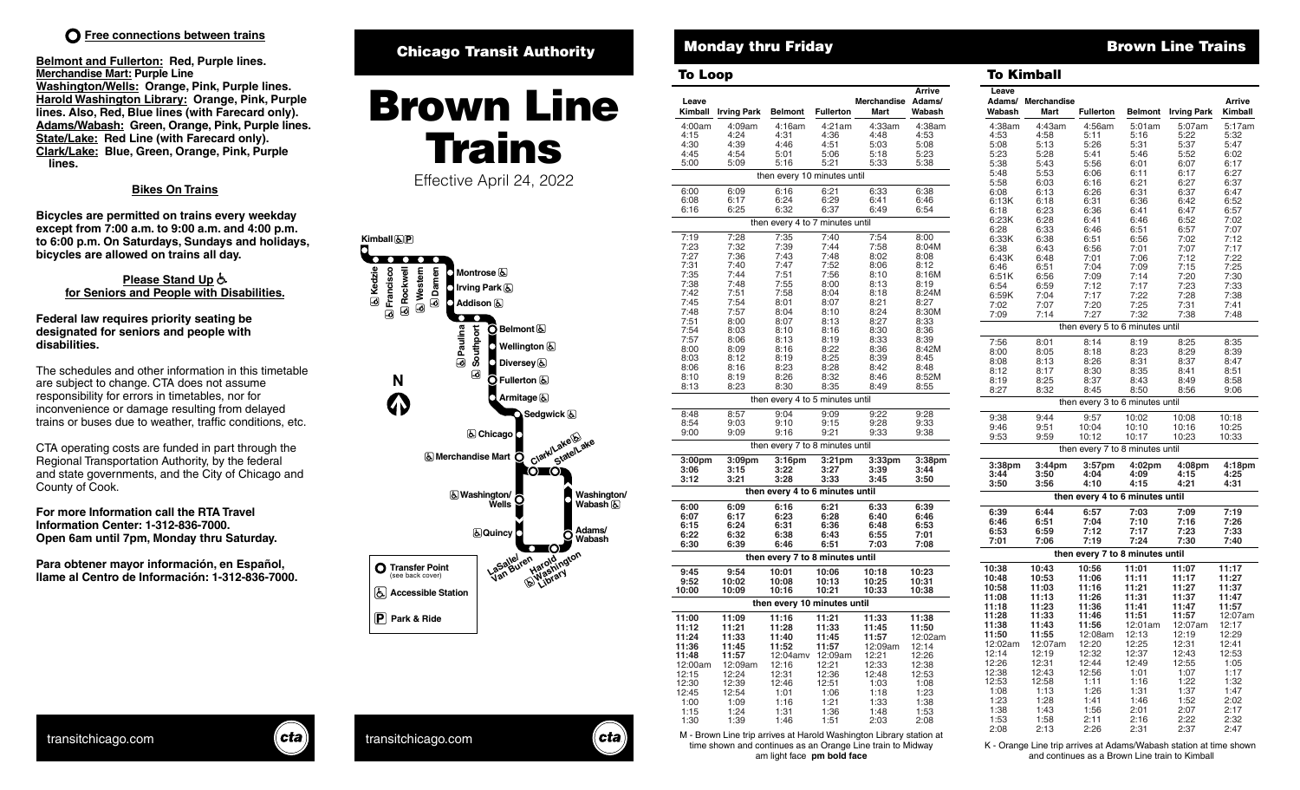# **Free connections between trains T**

**Belmont and Fullerton: Red, Purple lines. Merchandise Mart: Purple Line Washington/Wells: Orange, Pink, Purple lines. Harold Washington Library: Orange, Pink, Purple lines. Also, Red, Blue lines (with Farecard only). Adams/Wabash: Green, Orange, Pink, Purple lines. State/Lake: Red Line (with Farecard only). Clark/Lake: Blue, Green, Orange, Pink, Purple lines.**

## **Bikes On Trains**

**Bicycles are permitted on trains every weekday except from 7:00 a.m. to 9:00 a.m. and 4:00 p.m. to 6:00 p.m. On Saturdays, Sundays and holidays, bicycles are allowed on trains all day.** 

### please Stand Up<sup>&</sup> **for Seniors and People with Disabilities.**

**Federal law requires priority seating be designated for seniors and people with disabilities.** 

The schedules and other information in this timetable are subject to change. CTA does not assume responsibility for errors in timetables, nor for inconvenience or damage resulting from delayed trains or buses due to weather, traffic conditions, etc.

CTA operating costs are funded in part through the Regional Transportation Authority, by the federal and state governments, and the City of Chicago and County of Cook.

**For more Information call the RTA Travel Information Center: 1-312-836-7000. Open 6am until 7pm, Monday thru Saturday.**

**Para obtener mayor información, en Español, llame al Centro de Información: 1-312-836-7000.**

# Chicago Transit Authority

# **Arrive** Brown Line **Fullerton Fullerton Kimball** Trains Effective April 24, 2022



# 4:00am 4:09am 4:16am 4:21am 4:33am 4:38am 4:15 4:24 4:31 4:36 4:48 4:53 4:30 4:39 4:46 4:51 5:03 5:08 To Loop To Kimball **Merchandise Leave Kimball**

4:45 4:54 5:01 5:06 5:18 5:23 5:00 5:09 5:16 5:21 5:33 5:38

### 6:00 6:09 6:16 6:21 6:33 6:38 6:08 6:17 6:24 6:29 6:41 6:46 6:16 6:25 6:32 6:37 6:49 6:54 7:19 7:28 7:35 7:40 7:54 8:00 7:23 7:32 7:39 7:44 7:58 8:04M 7:27 7:36 7:43 7:48 8:02 8:08 7:31 7:40 7:47 7:52 8:06 8:12 7:35 7:44 7:51 7:56 8:10 8:16M 7:38 7:48 7:55 8:00 8:13 8:19 7:42 7:51 7:58 8:04 8:18 8:24M 7:45 7:54 8:01 8:07 8:21 8:27 7:48 7:57 8:04 8:10 8:24 8:30M 7:51 8:00 8:07 8:13 8:27 8:33 7:54 8:03 8:10 8:16 8:30 8:36 7:57 8:06 8:13 8:19 8:33 8:39 8:00 8:09 8:16 8:22 8:36 8:42M 8:03 8:12 8:19 8:25 8:39 8:45 8:06 8:16 8:23 8:28 8:42 8:48 8:10 8:19 8:26 8:32 8:46 8:52M 8:13 8:23 8:30 8:35 8:49 8:55 8:48 8:57 9:04 9:09 9:22 9:28 8:54 9:03 9:10 9:15 9:28 9:33 9:00 9:09 9:16 9:21 9:33 9:38 **3:00pm 3:09pm 3:16pm 3:21pm 3:33pm 3:38pm 3:06 3:15 3:22 3:27 3:39 3:44 3:12 3:21 3:28 3:33 3:45 3:50** then every 4 to 7 minutes until **then every 4 to 6 minutes until** then every 7 to 8 minutes until then every 4 to 5 minutes until

| then every 4 to 6 minutes until |         |          |         |         |         |  |  |  |  |  |  |  |  |
|---------------------------------|---------|----------|---------|---------|---------|--|--|--|--|--|--|--|--|
| 6:00                            | 6:09    | 6:16     | 6:21    | 6:33    | 6:39    |  |  |  |  |  |  |  |  |
| 6:07                            | 6:17    | 6:23     | 6:28    | 6:40    | 6:46    |  |  |  |  |  |  |  |  |
| 6:15                            | 6:24    | 6:31     | 6:36    | 6:48    | 6:53    |  |  |  |  |  |  |  |  |
| 6:22                            | 6:32    | 6:38     | 6:43    | 6:55    | 7:01    |  |  |  |  |  |  |  |  |
| 6:30                            | 6:39    | 6:46     | 6:51    | 7:03    | 7:08    |  |  |  |  |  |  |  |  |
| then every 7 to 8 minutes until |         |          |         |         |         |  |  |  |  |  |  |  |  |
| 9:45                            | 9:54    | 10:01    | 10:06   | 10:18   | 10:23   |  |  |  |  |  |  |  |  |
| 9:52                            | 10:02   | 10:08    | 10:13   | 10:25   | 10:31   |  |  |  |  |  |  |  |  |
| 10:00                           | 10:09   | 10:16    | 10:21   | 10:33   | 10:38   |  |  |  |  |  |  |  |  |
| then every 10 minutes until     |         |          |         |         |         |  |  |  |  |  |  |  |  |
| 11:00                           | 11:09   | 11:16    | 11:21   | 11:33   | 11:38   |  |  |  |  |  |  |  |  |
| 11:12                           | 11:21   | 11:28    | 11:33   | 11:45   | 11:50   |  |  |  |  |  |  |  |  |
| 11:24                           | 11:33   | 11:40    | 11:45   | 11:57   | 12:02am |  |  |  |  |  |  |  |  |
| 11:36                           | 11:45   | 11:52    | 11:57   | 12:09am | 12:14   |  |  |  |  |  |  |  |  |
| 11:48                           | 11:57   | 12:04amv | 12:09am | 12:21   | 12:26   |  |  |  |  |  |  |  |  |
| 12:00am                         | 12:09am | 12:16    | 12:21   | 12:33   | 12:38   |  |  |  |  |  |  |  |  |
| 12:15                           | 12:24   | 12:31    | 12:36   | 12:48   | 12:53   |  |  |  |  |  |  |  |  |
| 12:30                           | 12:39   | 12:46    | 12:51   | 1:03    | 1:08    |  |  |  |  |  |  |  |  |
| 12:45                           | 12:54   | 1:01     | 1:06    | 1:18    | 1:23    |  |  |  |  |  |  |  |  |
| 1:00                            | 1:09    | 1:16     | 1:21    | 1:33    | 1:38    |  |  |  |  |  |  |  |  |
| 1:15                            | 1:24    | 1:31     | 1:36    | 1:48    | 1:53    |  |  |  |  |  |  |  |  |

transitchicago.com (cta.) transitchicago.com (cta.) K - Brown Line trip arrives at Harold Washington Library station at the shown and continues as an Orange Line train to Midway K - Orange Line trip arrives at Adams/Wabash M - Brown Line trip arrives at Harold Washington Library station at time shown and continues as an Orange Line train to Midway am light face **pm bold face**

1:30 1:39 1:46 1:51 2:03 2:08

# Monday thru Friday **Brown Line Trains Brown Line Trains**

| Irving Park        | <b>Belmont</b>                  | <b>Fullerton</b> | <b>Merchandise</b><br>Mart | Arrive<br>Adams/<br>Wabash | Leave<br>Wabash | <b>Adams/ Merchandise</b><br>Mart | <b>Fullerton</b>                | <b>Belmont</b> | <b>Irving Park</b> | Arrive<br>Kimball |
|--------------------|---------------------------------|------------------|----------------------------|----------------------------|-----------------|-----------------------------------|---------------------------------|----------------|--------------------|-------------------|
| 4:09am             | 4:16am                          | 4:21am           | 4:33am                     | 4:38am                     | 4:38am          | 4:43am                            | 4:56am                          | 5:01am         | 5:07am             | 5:17am            |
| 4:24               | 4:31                            | 4:36             | 4:48                       | 4:53                       | 4:53            | 4:58                              | 5:11                            | 5:16           | 5:22               | 5:32              |
| 4:39               | 4:46                            | 4:51             | 5:03                       | 5:08                       | 5:08            | 5:13                              | 5:26                            | 5:31           | 5:37               | 5:47              |
| 4:54               | 5:01                            | 5:06             | 5:18                       | 5:23                       | 5:23            | 5:28                              | 5:41                            | 5:46           | 5:52               | 6:02              |
| 5:09               | 5:16                            | 5:21             | 5:33                       | 5:38                       | 5:38            | 5:43                              | 5:56                            | 6:01           | 6:07               | 6:17              |
|                    |                                 |                  |                            |                            | 5:48            | 5:53                              | 6:06                            | 6:11           | 6:17               | 6:27              |
|                    | then every 10 minutes until     |                  |                            |                            | 5:58            | 6:03                              | 6:16                            | 6:21           | 6:27               | 6:37              |
| 6:09               | 6:16                            | 6:21             | 6:33                       | 6:38                       | 6:08            | 6:13                              | 6:26                            | 6:31           | 6:37               | 6:47              |
| 6:17               | 6:24                            | 6:29             | 6:41                       | 6:46                       |                 |                                   |                                 |                |                    |                   |
| 6:25               | 6:32                            | 6:37             | 6:49                       | 6:54                       | 6:13K           | 6:18                              | 6:31                            | 6:36           | 6:42               | 6:52              |
|                    |                                 |                  |                            |                            | 6:18            | 6:23<br>6:28                      | 6:36<br>6:41                    | 6:41<br>6:46   | 6:47               | 6:57              |
|                    | then every 4 to 7 minutes until |                  |                            |                            | 6:23K<br>6:28   | 6:33                              | 6:46                            | 6:51           | 6:52<br>6:57       | 7:02<br>7:07      |
| 7:28               | 7:35                            | 7:40             | 7:54                       | 8:00                       | 6:33K           | 6:38                              | 6:51                            | 6:56           | 7:02               | 7:12              |
| 7:32               | 7:39                            | 7:44             | 7:58                       | 8:04M                      | 6:38            | 6:43                              | 6:56                            | 7:01           | 7:07               | 7:17              |
| 7:36               | 7:43                            | 7:48             | 8:02                       | 8:08                       | 6:43K           | 6:48                              | 7:01                            | 7:06           | 7:12               | 7:22              |
| 7:40               | 7:47                            | 7:52             | 8:06                       | 8:12                       | 6:46            | 6:51                              | 7:04                            | 7:09           | 7:15               | 7:25              |
| 7:44               | 7:51                            | 7:56             | 8:10                       | 8:16M                      | 6:51K           | 6:56                              | 7:09                            | 7:14           | 7:20               | 7:30              |
| 7:48               | 7:55                            | 8:00             | 8:13                       | 8:19                       | 6:54            | 6:59                              | 7:12                            | 7:17           | 7:23               | 7:33              |
| 7:51               | 7:58                            | 8:04             | 8:18                       | 8:24M                      | 6:59K           | 7:04                              | 7:17                            | 7:22           | 7:28               | 7:38              |
| 7:54               | 8:01                            | 8:07             | 8:21                       | 8:27                       | 7:02            | 7:07                              | 7:20                            | 7:25           | 7:31               | 7:41              |
| 7:57               | 8:04                            | 8:10             | 8:24                       | 8:30M                      | 7:09            | 7:14                              | 7:27                            | 7:32           | 7:38               | 7:48              |
| 8:00               | 8:07                            | 8:13             | 8:27                       | 8:33                       |                 |                                   |                                 |                |                    |                   |
| 8:03               | 8:10                            | 8:16             | 8:30                       | 8:36                       |                 |                                   | then every 5 to 6 minutes until |                |                    |                   |
| 8:06               | 8:13                            | 8:19             | 8:33                       | 8:39                       | 7:56            | 8:01                              | 8:14                            | 8:19           | 8:25               | 8:35              |
| 8:09               | 8:16                            | 8:22             | 8:36                       | 8:42M                      | 8:00            | 8:05                              | 8:18                            | 8:23           | 8:29               | 8:39              |
| 8:12               | 8:19                            | 8:25             | 8:39                       | 8:45                       |                 |                                   |                                 |                | 8:37               |                   |
| 8:16               | 8:23                            | 8:28             | 8:42                       | 8:48                       | 8:08            | 8:13                              | 8:26                            | 8:31           |                    | 8:47              |
| 8:19               | 8:26                            | 8:32             | 8:46                       | 8:52M                      | 8:12            | 8:17                              | 8:30                            | 8:35           | 8:41               | 8:51              |
| 8:23               | 8:30                            | 8:35             | 8:49                       | 8:55                       | 8:19            | 8:25                              | 8:37                            | 8:43           | 8:49               | 8:58              |
|                    |                                 |                  |                            |                            | 8:27            | 8:32                              | 8:45                            | 8:50           | 8:56               | 9:06              |
|                    | then every 4 to 5 minutes until |                  |                            |                            |                 |                                   | then every 3 to 6 minutes until |                |                    |                   |
| 8:57               | 9:04                            | 9:09             | 9:22                       | 9:28                       | 9:38            | 9:44                              | 9:57                            | 10:02          | 10:08              | 10:18             |
| 9:03               | 9:10                            | 9:15             | 9:28                       | 9:33                       | 9:46            | 9:51                              | 10:04                           | 10:10          | 10:16              | 10:25             |
| 9:09               | 9:16                            | 9:21             | 9:33                       | 9:38                       | 9:53            | 9:59                              | 10:12                           | 10:17          | 10:23              | 10:33             |
|                    | then every 7 to 8 minutes until |                  |                            |                            |                 |                                   | then every 7 to 8 minutes until |                |                    |                   |
| 3:09 <sub>pm</sub> | 3:16 <sub>pm</sub>              | 3:21pm           | 3:33 <sub>pm</sub><br>3:39 | 3:38 <sub>pm</sub>         | 3:38pm          | 3:44pm                            | 3:57pm                          | 4:02pm         | 4:08pm             | 4:18pm            |
| 3:15<br>3:21       | 3:22<br>3:28                    | 3:27<br>3:33     | 3:45                       | 3:44<br>3:50               | 3:44            | 3:50                              | 4:04                            | 4:09           | 4:15               | 4:25              |
|                    | then every 4 to 6 minutes until |                  |                            |                            | 3:50            | 3:56                              | 4:10                            | 4:15           | 4:21               | 4:31              |
| 6:09               | 6:16                            | 6:21             | 6:33                       | 6:39                       |                 |                                   | then every 4 to 6 minutes until |                |                    |                   |
| 6:17               | 6:23                            | 6:28             | 6:40                       | 6:46                       | 6:39            | 6:44                              | 6:57                            | 7:03           | 7:09               | 7:19              |
| 6:24               | 6:31                            | 6:36             | 6:48                       | 6:53                       | 6:46            | 6:51                              | 7:04                            | 7:10           | 7:16               | 7:26              |
| 6:32               | 6:38                            | 6:43             | 6:55                       | 7:01                       | 6:53            | 6:59                              | 7:12                            | 7:17           | 7:23               | 7:33              |
| 6:39               | 6:46                            | 6:51             | 7:03                       | 7:08                       | 7:01            | 7:06                              | 7:19                            | 7:24           | 7:30               | 7:40              |
|                    | then every 7 to 8 minutes until |                  |                            |                            |                 |                                   | then every 7 to 8 minutes until |                |                    |                   |
| 9:54               | 10:01                           | 10:06            | 10:18                      | 10:23                      | 10:38           | 10:43                             | 10:56                           | 11:01          | 11:07              | 11:17             |
| 10:02              | 10:08                           | 10:13            | 10:25                      | 10:31                      | 10:48           | 10:53                             | 11:06                           | 11:11          | 11:17              | 11:27             |
| 10:09              | 10:16                           | 10:21            | 10:33                      | 10:38                      | 10:58           | 11:03                             | 11:16                           | 11:21          | 11:27              | 11:37             |
|                    | then every 10 minutes until     |                  |                            |                            | 11:08<br>11:18  | 11:13<br>11:23                    | 11:26<br>11:36                  | 11:31<br>11:41 | 11:37<br>11:47     | 11:47<br>11:57    |
| 11:09              | 11:16                           | 11:21            | 11:33                      | 11:38                      | 11:28           | 11:33                             | 11:46                           | 11:51          | 11:57              | 12:07am           |
| 11:21              | 11:28                           | 11:33            | 11:45                      | 11:50                      | 11:38           | 11:43                             | 11:56                           | 12:01am        | 12:07am            | 12:17             |
|                    |                                 |                  |                            |                            | 11:50           | 11:55                             | 12:08am                         | 12:13          | 12:19              | 12:29             |
| 11:33              | 11:40                           | 11:45            | 11:57                      | 12:02am                    | 12:02am         | 12:07am                           | 12:20                           | 12:25          | 12:31              | 12:41             |
| 11:45              | 11:52                           | 11:57            | 12:09am                    | 12:14                      | 12:14           | 12:19                             | 12:32                           | 12:37          | 12:43              | 12:53             |
| 11:57              | 12:04amv 12:09am                |                  | 12:21                      | 12:26                      | 12:26           | 12:31                             | 12:44                           | 12:49          | 12:55              |                   |
| 12:09am            | 12:16                           | 12:21            | 12:33                      | 12:38                      |                 |                                   |                                 |                |                    | 1:05              |
| 12:24              | 12:31                           | 12:36            | 12:48                      | 12:53                      | 12:38           | 12:43                             | 12:56                           | 1:01           | 1:07               | 1:17              |
| 12:39              | 12:46                           | 12:51            | 1:03                       | 1:08                       | 12:53           | 12:58                             | 1:11                            | 1:16           | 1:22               | 1:32              |
| 12:54              | 1:01                            | 1:06             | 1:18                       | 1:23                       | 1:08            | 1:13                              | 1:26                            | 1:31           | 1:37               | 1:47              |
| 1:09               | 1:16                            | 1:21             | 1:33                       | 1:38                       | 1:23            | 1:28                              | 1:41                            | 1:46           | 1:52               | 2:02              |
| 1:24               | 1:31                            | 1:36             | 1:48                       | 1:53                       | 1:38            | 1:43                              | 1:56                            | 2:01           | 2:07               | 2:17              |
| 1:39               | 1:46                            | 1:51             | 2:03                       | 2:08                       | 1:53            | 1:58                              | 2:11                            | 2:16           | 2:22               | 2:32              |
|                    |                                 |                  |                            |                            | 2:08            | 2:13                              | 2:26                            | 2:31           | 2:37               | 2:47              |

and continues as a Brown Line train to Kimball